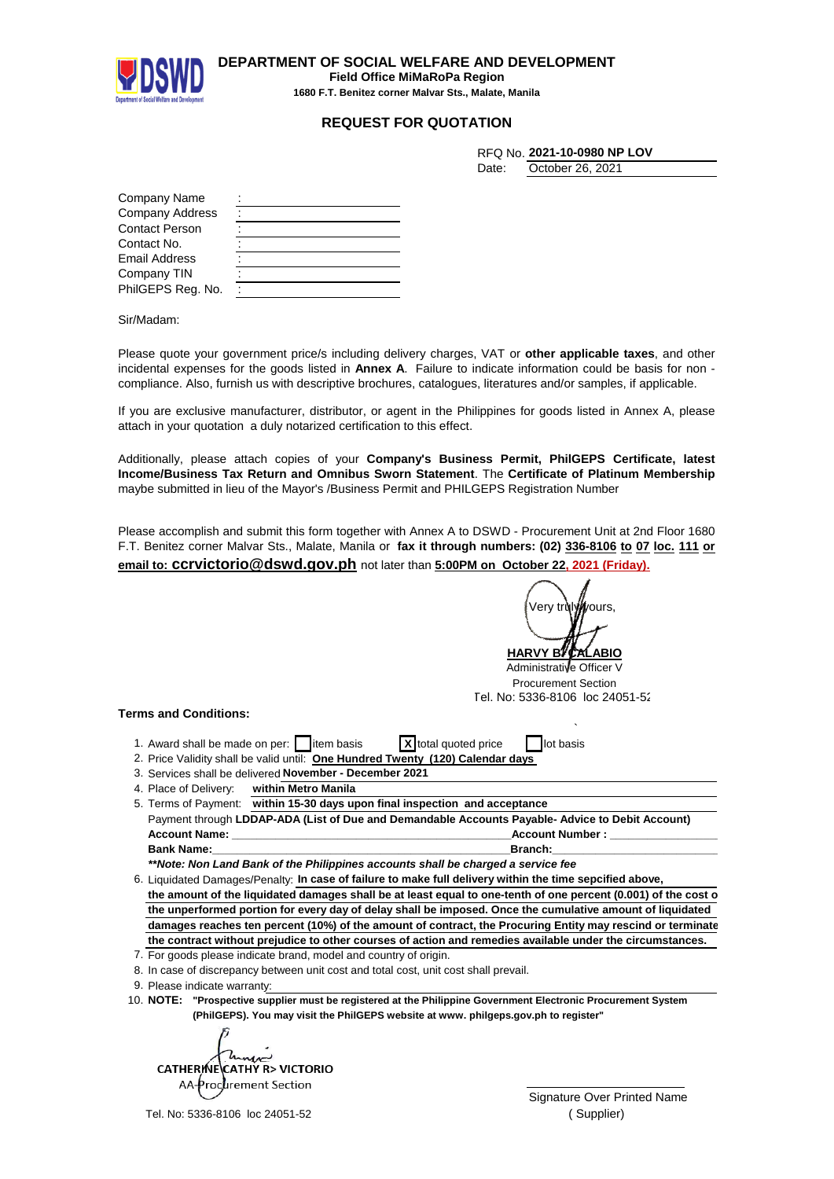

**DEPARTMENT OF SOCIAL WELFARE AND DEVELOPMENT Field Office MiMaRoPa Region 1680 F.T. Benitez corner Malvar Sts., Malate, Manila**

## **REQUEST FOR QUOTATION**

|       | RFQ No. 2021-10-0980 NP LOV |
|-------|-----------------------------|
| Date: | October 26, 2021            |

| Company Name           |  |
|------------------------|--|
| <b>Company Address</b> |  |
| <b>Contact Person</b>  |  |
| Contact No.            |  |
| <b>Email Address</b>   |  |
| Company TIN            |  |
| PhilGEPS Reg. No.      |  |

Sir/Madam:

Please quote your government price/s including delivery charges, VAT or **other applicable taxes**, and other incidental expenses for the goods listed in **Annex A**. Failure to indicate information could be basis for non compliance. Also, furnish us with descriptive brochures, catalogues, literatures and/or samples, if applicable.

If you are exclusive manufacturer, distributor, or agent in the Philippines for goods listed in Annex A, please attach in your quotation a duly notarized certification to this effect.

Additionally, please attach copies of your **Company's Business Permit, PhilGEPS Certificate, latest Income/Business Tax Return and Omnibus Sworn Statement**. The **Certificate of Platinum Membership** maybe submitted in lieu of the Mayor's /Business Permit and PHILGEPS Registration Number

Please accomplish and submit this form together with Annex A to DSWD - Procurement Unit at 2nd Floor 1680 F.T. Benitez corner Malvar Sts., Malate, Manila or **fax it through numbers: (02) 336-8106 to 07 loc. 111 or email to: ccrvictorio@dswd.gov.ph** not later than **5:00PM on October 22, 2021 (Friday).**

**HARVY B** Administrative Officer V Procurement Section **Terms and Conditions:** ` 1. Award shall be made on per:  $\parallel$  item basis  $\parallel$  **X** total quoted price  $\parallel$  lot basis 2. Price Validity shall be valid until: **One Hundred Twenty (120) Calendar days** 3. Services shall be delivered November - December 2021 Payment through **LDDAP-ADA (List of Due and Demandable Accounts Payable- Advice to Debit Account) Account Name: \_\_\_\_\_\_\_\_\_\_\_\_\_\_\_\_\_\_\_\_\_\_\_\_\_\_\_\_\_\_\_\_\_\_\_\_\_\_\_\_\_\_\_\_\_Account Number : \_\_\_\_\_\_\_\_\_\_\_\_\_\_\_\_\_\_\_\_\_\_\_\_\_\_\_\_\_ Bank Name:\_\_\_\_\_\_\_\_\_\_\_\_\_\_\_\_\_\_\_\_\_\_\_\_\_\_\_\_\_\_\_\_\_\_\_\_\_\_\_\_\_\_\_\_\_\_\_\_Branch:\_\_\_\_\_\_\_\_\_\_\_\_\_\_\_\_\_\_\_\_\_\_\_\_\_\_\_\_\_\_\_\_\_\_\_\_\_\_** *\*\*Note: Non Land Bank of the Philippines accounts shall be charged a service fee* 6. Liquidated Damages/Penalty: In case of failure to make full delivery within the time sepcified above, the amount of the liquidated damages shall be at least equal to one-tenth of one percent (0.001) of the cost o **the unperformed portion for every day of delay shall be imposed. Once the cumulative amount of liquidated damages reaches ten percent (10%) of the amount of contract, the Procuring Entity may rescind or terminate the contract without prejudice to other courses of action and remedies available under the circumstances.** 7. For goods please indicate brand, model and country of origin. Verv trùlv*il*lvours Tel. No: 5336-8106 loc 24051-52 4. Place of Delivery: **within Metro Manila** 5. Terms of Payment: **within 15-30 days upon final inspection and acceptance**

10. **"Prospective supplier must be registered at the Philippine Government Electronic Procurement System NOTE: (PhilGEPS). You may visit the PhilGEPS website at www. philgeps.gov.ph to register"**

**CATHERINE CATHY R> VICTORIO** AA-Procurement Section  $\circ$ 

Tel. No: 5336-8106 loc 24051-52

Signature Over Printed Name ( Supplier)

<sup>8.</sup> In case of discrepancy between unit cost and total cost, unit cost shall prevail.

<sup>9.</sup> Please indicate warranty: